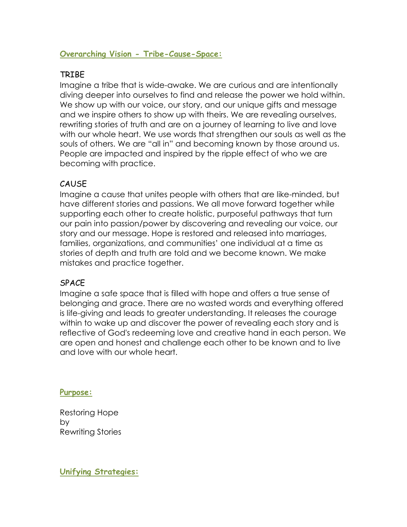# **Overarching Vision - Tribe-Cause-Space:**

# TRIBE

Imagine a tribe that is wide-awake. We are curious and are intentionally diving deeper into ourselves to find and release the power we hold within. We show up with our voice, our story, and our unique gifts and message and we inspire others to show up with theirs. We are revealing ourselves, rewriting stories of truth and are on a journey of learning to live and love with our whole heart. We use words that strengthen our souls as well as the souls of others. We are "all in" and becoming known by those around us. People are impacted and inspired by the ripple effect of who we are becoming with practice.

# **CAUSE**

Imagine a cause that unites people with others that are like-minded, but have different stories and passions. We all move forward together while supporting each other to create holistic, purposeful pathways that turn our pain into passion/power by discovering and revealing our voice, our story and our message. Hope is restored and released into marriages, families, organizations, and communities' one individual at a time as stories of depth and truth are told and we become known. We make mistakes and practice together.

## SPACE

Imagine a safe space that is filled with hope and offers a true sense of belonging and grace. There are no wasted words and everything offered is life-giving and leads to greater understanding. It releases the courage within to wake up and discover the power of revealing each story and is reflective of God's redeeming love and creative hand in each person. We are open and honest and challenge each other to be known and to live and love with our whole heart.

**Purpose:**

Restoring Hope by Rewriting Stories

**Unifying Strategies:**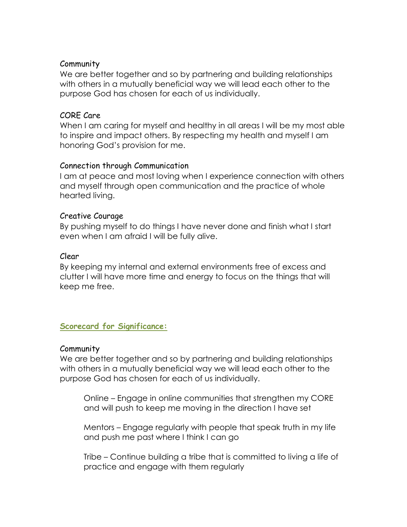### Community

We are better together and so by partnering and building relationships with others in a mutually beneficial way we will lead each other to the purpose God has chosen for each of us individually.

### CORE Care

When I am caring for myself and healthy in all areas I will be my most able to inspire and impact others. By respecting my health and myself I am honoring God's provision for me.

### Connection through Communication

I am at peace and most loving when I experience connection with others and myself through open communication and the practice of whole hearted living.

### Creative Courage

By pushing myself to do things I have never done and finish what I start even when I am afraid I will be fully alive.

### Clear

By keeping my internal and external environments free of excess and clutter I will have more time and energy to focus on the things that will keep me free.

## **Scorecard for Significance:**

#### Community

We are better together and so by partnering and building relationships with others in a mutually beneficial way we will lead each other to the purpose God has chosen for each of us individually.

Online – Engage in online communities that strengthen my CORE and will push to keep me moving in the direction I have set

Mentors – Engage regularly with people that speak truth in my life and push me past where I think I can go

Tribe – Continue building a tribe that is committed to living a life of practice and engage with them regularly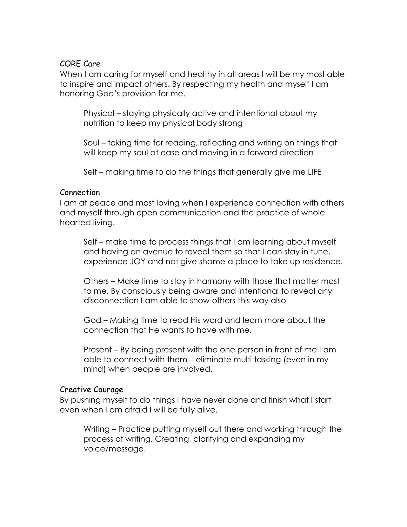### CORE Care

When I am caring for myself and healthy in all areas I will be my most able to inspire and impact others. By respecting my health and myself I am honoring God's provision for me.

Physical – staying physically active and intentional about my nutrition to keep my physical body strong

Soul – taking time for reading, reflecting and writing on things that will keep my soul at ease and moving in a forward direction

Self – making time to do the things that generally give me LIFE

### Connection

I am at peace and most loving when I experience connection with others and myself through open communication and the practice of whole hearted living.

Self – make time to process things that I am learning about myself and having an avenue to reveal them so that I can stay in tune, experience JOY and not give shame a place to take up residence.

Others – Make time to stay in harmony with those that matter most to me. By consciously being aware and intentional to reveal any disconnection I am able to show others this way also

God – Making time to read His word and learn more about the connection that He wants to have with me.

Present – By being present with the one person in front of me I am able to connect with them – eliminate multi tasking (even in my mind) when people are involved.

#### Creative Courage

By pushing myself to do things I have never done and finish what I start even when I am afraid I will be fully alive.

Writing – Practice putting myself out there and working through the process of writing. Creating, clarifying and expanding my voice/message.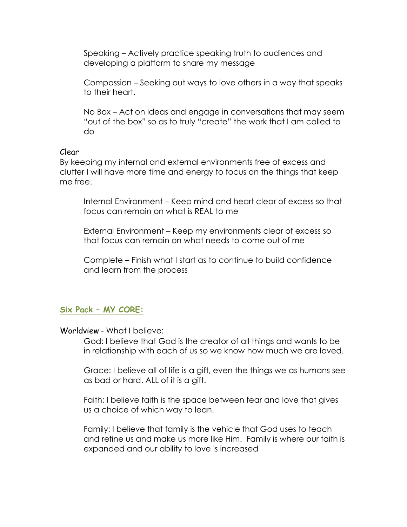Speaking – Actively practice speaking truth to audiences and developing a platform to share my message

Compassion – Seeking out ways to love others in a way that speaks to their heart.

No Box – Act on ideas and engage in conversations that may seem "out of the box" so as to truly "create" the work that I am called to do

#### Clear

By keeping my internal and external environments free of excess and clutter I will have more time and energy to focus on the things that keep me free.

Internal Environment – Keep mind and heart clear of excess so that focus can remain on what is REAL to me

External Environment – Keep my environments clear of excess so that focus can remain on what needs to come out of me

Complete – Finish what I start as to continue to build confidence and learn from the process

## **Six Pack – MY CORE:**

Worldview - What I believe:

God: I believe that God is the creator of all things and wants to be in relationship with each of us so we know how much we are loved.

Grace: I believe all of life is a gift, even the things we as humans see as bad or hard. ALL of it is a gift.

Faith: I believe faith is the space between fear and love that gives us a choice of which way to lean.

Family: I believe that family is the vehicle that God uses to teach and refine us and make us more like Him. Family is where our faith is expanded and our ability to love is increased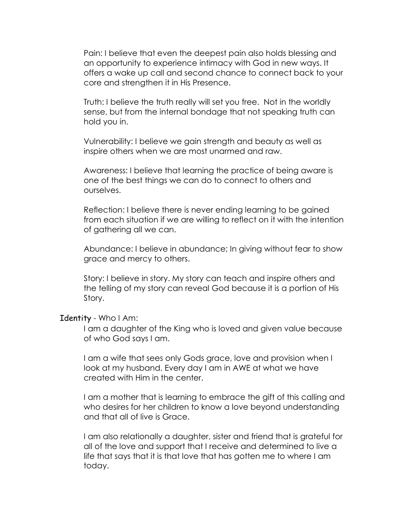Pain: I believe that even the deepest pain also holds blessing and an opportunity to experience intimacy with God in new ways. It offers a wake up call and second chance to connect back to your core and strengthen it in His Presence.

Truth: I believe the truth really will set you free. Not in the worldly sense, but from the internal bondage that not speaking truth can hold you in.

Vulnerability: I believe we gain strength and beauty as well as inspire others when we are most unarmed and raw.

Awareness: I believe that learning the practice of being aware is one of the best things we can do to connect to others and ourselves.

Reflection: I believe there is never ending learning to be gained from each situation if we are willing to reflect on it with the intention of gathering all we can.

Abundance: I believe in abundance; In giving without fear to show grace and mercy to others.

Story: I believe in story. My story can teach and inspire others and the telling of my story can reveal God because it is a portion of His Story.

#### Identity - Who I Am:

I am a daughter of the King who is loved and given value because of who God says I am.

I am a wife that sees only Gods grace, love and provision when I look at my husband. Every day I am in AWE at what we have created with Him in the center.

I am a mother that is learning to embrace the gift of this calling and who desires for her children to know a love beyond understanding and that all of live is Grace.

I am also relationally a daughter, sister and friend that is grateful for all of the love and support that I receive and determined to live a life that says that it is that love that has gotten me to where I am today.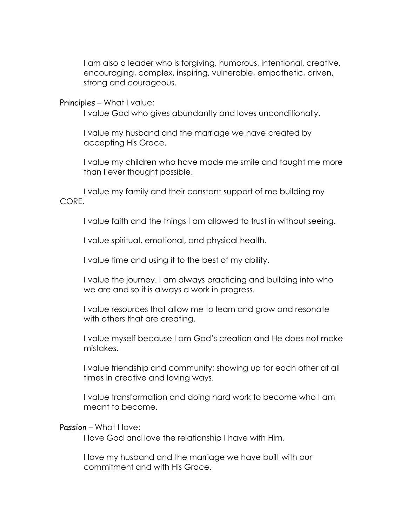I am also a leader who is forgiving, humorous, intentional, creative, encouraging, complex, inspiring, vulnerable, empathetic, driven, strong and courageous.

#### Principles – What I value:

I value God who gives abundantly and loves unconditionally.

I value my husband and the marriage we have created by accepting His Grace.

I value my children who have made me smile and taught me more than I ever thought possible.

I value my family and their constant support of me building my CORE.

I value faith and the things I am allowed to trust in without seeing.

I value spiritual, emotional, and physical health.

I value time and using it to the best of my ability.

I value the journey. I am always practicing and building into who we are and so it is always a work in progress.

I value resources that allow me to learn and grow and resonate with others that are creating.

I value myself because I am God's creation and He does not make mistakes.

I value friendship and community; showing up for each other at all times in creative and loving ways.

I value transformation and doing hard work to become who I am meant to become.

#### Passion – What I love:

I love God and love the relationship I have with Him.

I love my husband and the marriage we have built with our commitment and with His Grace.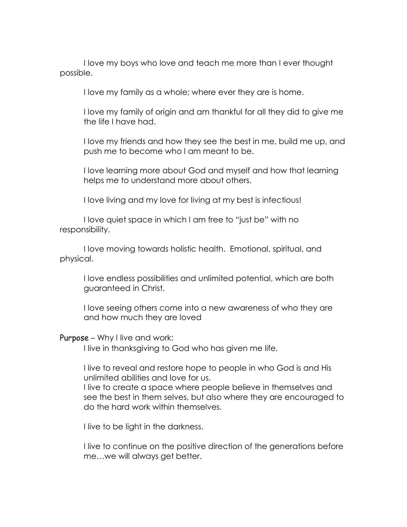I love my boys who love and teach me more than I ever thought possible.

I love my family as a whole; where ever they are is home.

I love my family of origin and am thankful for all they did to give me the life I have had.

I love my friends and how they see the best in me, build me up, and push me to become who I am meant to be.

I love learning more about God and myself and how that learning helps me to understand more about others.

I love living and my love for living at my best is infectious!

I love quiet space in which I am free to "just be" with no responsibility.

I love moving towards holistic health. Emotional, spiritual, and physical.

I love endless possibilities and unlimited potential, which are both guaranteed in Christ.

I love seeing others come into a new awareness of who they are and how much they are loved

#### Purpose – Why I live and work:

I live in thanksgiving to God who has given me life.

I live to reveal and restore hope to people in who God is and His unlimited abilities and love for us.

I live to create a space where people believe in themselves and see the best in them selves, but also where they are encouraged to do the hard work within themselves.

I live to be light in the darkness.

I live to continue on the positive direction of the generations before me…we will always get better.